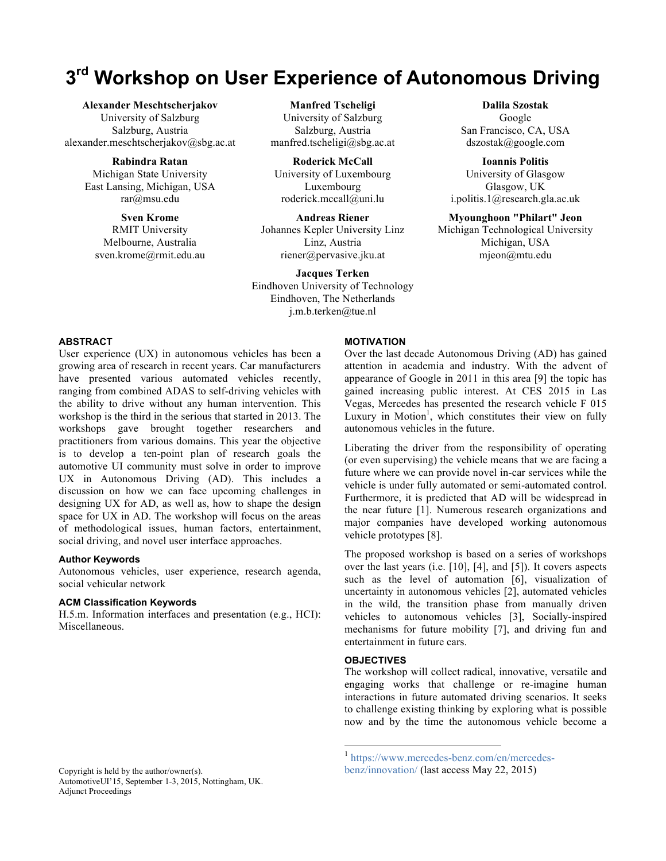# **3rd Workshop on User Experience of Autonomous Driving**

**Alexander Meschtscherjakov** University of Salzburg Salzburg, Austria alexander.meschtscherjakov@sbg.ac.at

> **Rabindra Ratan** Michigan State University East Lansing, Michigan, USA rar@msu.edu

**Sven Krome** RMIT University Melbourne, Australia sven.krome@rmit.edu.au

**Manfred Tscheligi** University of Salzburg Salzburg, Austria manfred.tscheligi@sbg.ac.at

**Roderick McCall** University of Luxembourg Luxembourg roderick.mccall@uni.lu

**Andreas Riener** Johannes Kepler University Linz Linz, Austria riener@pervasive.jku.at

**Jacques Terken** Eindhoven University of Technology Eindhoven, The Netherlands j.m.b.terken@tue.nl

## **ABSTRACT**

User experience (UX) in autonomous vehicles has been a growing area of research in recent years. Car manufacturers have presented various automated vehicles recently, ranging from combined ADAS to self-driving vehicles with the ability to drive without any human intervention. This workshop is the third in the serious that started in 2013. The workshops gave brought together researchers and practitioners from various domains. This year the objective is to develop a ten-point plan of research goals the automotive UI community must solve in order to improve UX in Autonomous Driving (AD). This includes a discussion on how we can face upcoming challenges in designing UX for AD, as well as, how to shape the design space for UX in AD. The workshop will focus on the areas of methodological issues, human factors, entertainment, social driving, and novel user interface approaches.

### **Author Keywords**

Autonomous vehicles, user experience, research agenda, social vehicular network

#### **ACM Classification Keywords**

H.5.m. Information interfaces and presentation (e.g., HCI): Miscellaneous.

## AutomotiveUI'15, September 1-3, 2015, Nottingham, UK. Adjunct Proceedings

#### **MOTIVATION**

Over the last decade Autonomous Driving (AD) has gained attention in academia and industry. With the advent of appearance of Google in 2011 in this area [9] the topic has gained increasing public interest. At CES 2015 in Las Vegas, Mercedes has presented the research vehicle F 015 Luxury in Motion<sup>1</sup>, which constitutes their view on fully autonomous vehicles in the future.

Liberating the driver from the responsibility of operating (or even supervising) the vehicle means that we are facing a future where we can provide novel in-car services while the vehicle is under fully automated or semi-automated control. Furthermore, it is predicted that AD will be widespread in the near future [1]. Numerous research organizations and major companies have developed working autonomous vehicle prototypes [8].

The proposed workshop is based on a series of workshops over the last years (i.e. [10], [4], and [5]). It covers aspects such as the level of automation [6], visualization of uncertainty in autonomous vehicles [2], automated vehicles in the wild, the transition phase from manually driven vehicles to autonomous vehicles [3], Socially-inspired mechanisms for future mobility [7], and driving fun and entertainment in future cars.

#### **OBJECTIVES**

The workshop will collect radical, innovative, versatile and engaging works that challenge or re-imagine human interactions in future automated driving scenarios. It seeks to challenge existing thinking by exploring what is possible now and by the time the autonomous vehicle become a

**Dalila Szostak** Google San Francisco, CA, USA dszostak@google.com

**Ioannis Politis** University of Glasgow Glasgow, UK i.politis.1@research.gla.ac.uk

**Myounghoon "Philart" Jeon**

Michigan Technological University Michigan, USA mjeon@mtu.edu

 <sup>1</sup> https://www.mercedes-benz.com/en/mercedes-Copyright is held by the author/owner(s). benz/innovation/ (last access May 22, 2015)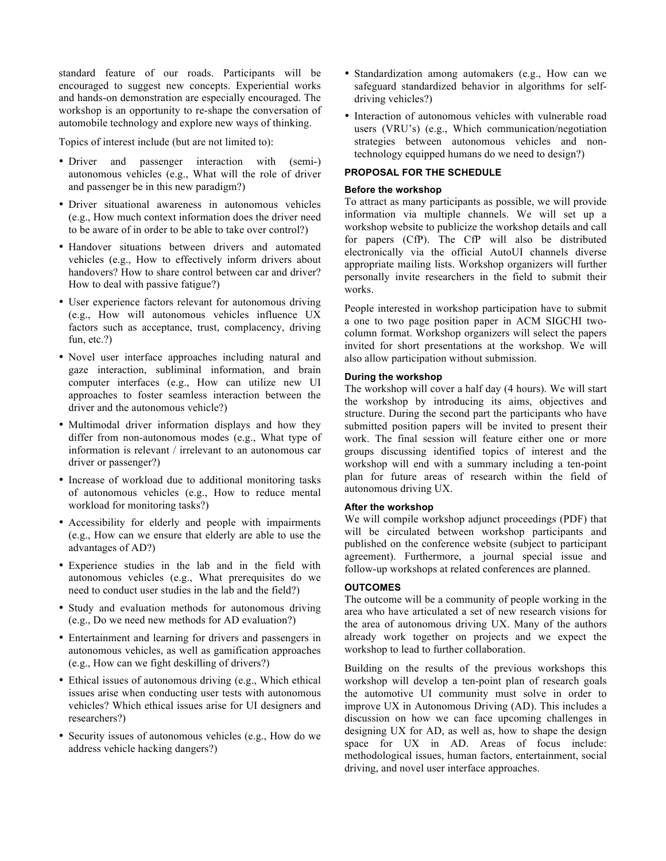standard feature of our roads. Participants will be encouraged to suggest new concepts. Experiential works and hands-on demonstration are especially encouraged. The workshop is an opportunity to re-shape the conversation of automobile technology and explore new ways of thinking.

Topics of interest include (but are not limited to):

- Driver and passenger interaction with (semi-) autonomous vehicles (e.g., What will the role of driver and passenger be in this new paradigm?)
- Driver situational awareness in autonomous vehicles (e.g., How much context information does the driver need to be aware of in order to be able to take over control?)
- Handover situations between drivers and automated vehicles (e.g., How to effectively inform drivers about handovers? How to share control between car and driver? How to deal with passive fatigue?)
- User experience factors relevant for autonomous driving (e.g., How will autonomous vehicles influence UX factors such as acceptance, trust, complacency, driving fun, etc.?)
- Novel user interface approaches including natural and gaze interaction, subliminal information, and brain computer interfaces (e.g., How can utilize new UI approaches to foster seamless interaction between the driver and the autonomous vehicle?)
- Multimodal driver information displays and how they differ from non-autonomous modes (e.g., What type of information is relevant / irrelevant to an autonomous car driver or passenger?)
- Increase of workload due to additional monitoring tasks of autonomous vehicles (e.g., How to reduce mental workload for monitoring tasks?)
- Accessibility for elderly and people with impairments (e.g., How can we ensure that elderly are able to use the advantages of AD?)
- Experience studies in the lab and in the field with autonomous vehicles (e.g., What prerequisites do we need to conduct user studies in the lab and the field?)
- Study and evaluation methods for autonomous driving (e.g., Do we need new methods for AD evaluation?)
- Entertainment and learning for drivers and passengers in autonomous vehicles, as well as gamification approaches (e.g., How can we fight deskilling of drivers?)
- Ethical issues of autonomous driving (e.g., Which ethical issues arise when conducting user tests with autonomous vehicles? Which ethical issues arise for UI designers and researchers?)
- Security issues of autonomous vehicles (e.g., How do we address vehicle hacking dangers?)
- Standardization among automakers (e.g., How can we safeguard standardized behavior in algorithms for selfdriving vehicles?)
- Interaction of autonomous vehicles with vulnerable road users (VRU's) (e.g., Which communication/negotiation strategies between autonomous vehicles and nontechnology equipped humans do we need to design?)

## **PROPOSAL FOR THE SCHEDULE**

## **Before the workshop**

To attract as many participants as possible, we will provide information via multiple channels. We will set up a workshop website to publicize the workshop details and call for papers (CfP). The CfP will also be distributed electronically via the official AutoUI channels diverse appropriate mailing lists. Workshop organizers will further personally invite researchers in the field to submit their works.

People interested in workshop participation have to submit a one to two page position paper in ACM SIGCHI twocolumn format. Workshop organizers will select the papers invited for short presentations at the workshop. We will also allow participation without submission.

## **During the workshop**

The workshop will cover a half day (4 hours). We will start the workshop by introducing its aims, objectives and structure. During the second part the participants who have submitted position papers will be invited to present their work. The final session will feature either one or more groups discussing identified topics of interest and the workshop will end with a summary including a ten-point plan for future areas of research within the field of autonomous driving UX.

### **After the workshop**

We will compile workshop adjunct proceedings (PDF) that will be circulated between workshop participants and published on the conference website (subject to participant agreement). Furthermore, a journal special issue and follow-up workshops at related conferences are planned.

### **OUTCOMES**

The outcome will be a community of people working in the area who have articulated a set of new research visions for the area of autonomous driving UX. Many of the authors already work together on projects and we expect the workshop to lead to further collaboration.

Building on the results of the previous workshops this workshop will develop a ten-point plan of research goals the automotive UI community must solve in order to improve UX in Autonomous Driving (AD). This includes a discussion on how we can face upcoming challenges in designing UX for AD, as well as, how to shape the design space for UX in AD. Areas of focus include: methodological issues, human factors, entertainment, social driving, and novel user interface approaches.